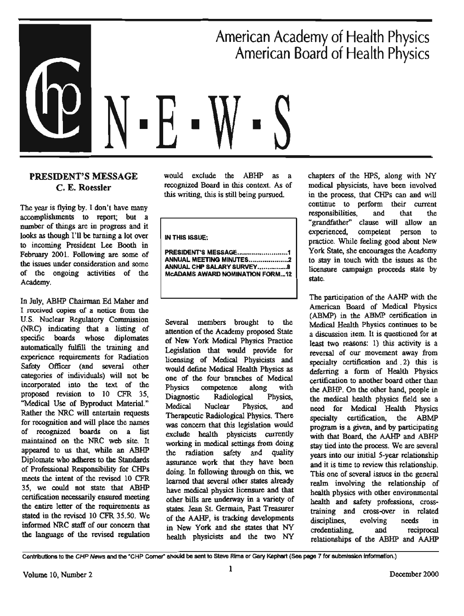American Academy of Health Physics **American Board of Health Physics** 

# **PRESIDENT'S MESSAGE** C. E. Roessler

The year is flying by. I don't have many accomplishments to report; but a number of things are in progress and it looks as though I'll be turning a lot over to incoming President Lee Booth in February 2001. Following are some of the issues under consideration and some of the ongoing activities of the Academy.

In July, ABHP Chairman Ed Maher and I received copies of a notice from the U.S. Nuclear Regulatory Commission (NRC) indicating that a listing of specific boards whose diplomates automatically fulfill the training and experience requirements for Radiation Safety Officer (and several other categories of individuals) will not be incorporated into the text of the proposed revision to 10 CFR 35. "Medical Use of Byproduct Material." Rather the NRC will entertain requests for recognition and will place the names of recognized boards on a list maintained on the NRC web site. It appeared to us that, while an ABHP Diplomate who adheres to the Standards of Professional Responsibility for CHPs meets the intent of the revised 10 CFR 35, we could not state that ABHP certification necessarily ensured meeting the entire letter of the requirements as stated in the revised 10 CFR 35.50. We informed NRC staff of our concern that the language of the revised regulation

would exclude the ABHP as a recognized Board in this context. As of this writing, this is still being pursued.

**IN THIS ISSUE:** 

ANNUAL MEETING MINUTES.....................2 ANNUAL CHP SALARY SURVEY.................8 **MCADAMS AWARD NOMINATION FORM...12** 

Several members brought to the attention of the Academy proposed State of New York Medical Physics Practice Legislation that would provide for licensing of Medical Physicists and would define Medical Health Physics as one of the four branches of Medical Physics competence along with Diagnostic Physics, Radiological Medical Nuclear Physics, and Therapeutic Radiological Physics. There was concern that this legislation would exclude health physicists currently working in medical settings from doing the radiation safety and quality assurance work that they have been doing. In following through on this, we learned that several other states already have medical physics licensure and that other bills are underway in a variety of states. Jean St. Germain, Past Treasurer of the AAHP, is tracking developments in New York and she states that NY health physicists and the two NY chapters of the HPS, along with NY medical physicists, have been involved in the process, that CHPs can and will continue to perform their current responsibilities. and that the "grandfather" clause will allow an experienced. competent person to practice. While feeling good about New York State, she encourages the Academy to stay in touch with the issues as the licensure campaign proceeds state by state.

The participation of the AAHP with the American Board of Medical Physics (ABMP) in the ABMP certification in Medical Health Physics continues to be a discussion item. It is questioned for at least two reasons: 1) this activity is a reversal of our movement away from specialty certification and 2) this is deferring a form of Health Physics certification to another board other than the ABHP. On the other hand, people in the medical health physics field see a need for Medical Health Physics specialty certification, the ABMP program is a given, and by participating with that Board, the AAHP and ABHP stay tied into the process. We are several years into our initial 5-year relationship and it is time to review this relationship. This one of several issues in the general realm involving the relationship of health physics with other environmental health and safety professions, crosstraining and cross-over in related disciplines. evolving needs in credentialing. and reciprocal relationships of the ABHP and AAHP

Contributions to the CHP News and the "CHP Corner" should be sent to Steve Rima or Gary Kephart (See page 7 for submission information.)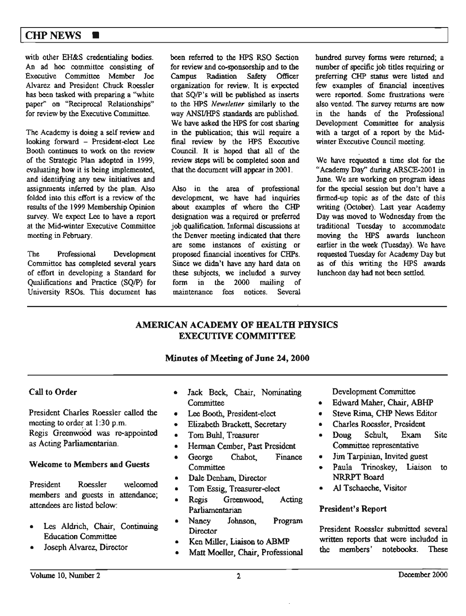# $CHP$  NEWS  $\blacksquare$

with other EH&S credentialing bodies. An ad hoc committee consisting of Executive Committee Member Joe Alvarez and President Chuck Roessler has been tasked with preparing a "white paper" on "Reciprocal Relationships" for review by the Executive Committee.

The Academy is doing a self review and looking forward - President-elect Lee Booth continues to work on the review of the Strategic Plan adopted in 1999, evaluating how it is being implemented, and identifying any new initiatives and assignments inferred by the plan. Also folded into this effort is a review of the results of the 1999 Membership Opinion survey. We expect Lee to have a report at the Mid-winter Executive Committee meeting in February.

The Professional Development Committee has completed several years of effort in developing a Standard for Qualifications and Practice (SQ/P) for University RSOs. This document has been referred to the HPS RSO Section for review and co-sponsorship and to the Campus Radiation Safety Officer organization for review. It is expected that SQ/P's will be published as inserts to the HPS *Newsletter* similarly to the way ANSI/HPS standards are published. We have asked the HPS for cost sharing in the publication; this will require a final review by the HPS Executive Council. It is hoped that all of the review steps will be completed soon and that the document will appear in 2001.

Also in the area of professional development, we have had inquiries about examples of where the CHP designation was a required or preferred job qualification. Informal discussions at the Denver meeting indicated that there are some instances of existing or proposed financial incentives for CHPs. Since we didn't have any hard data on these subjects, we included a survey form in the 2000 mailing of maintenance fees notices. Several

hundred survey forms were returned; a number of specific job titles requiring or preferring CHP status were listed and few examples of financial incentives were reported. Some frustrations were also vented. The survey returns are now in the bands of the Professional Development Committee for analysis with a target of a report by the Midwinter Executive Council meeting.

We have requested a time slot for the "Academy Day" during ARSCE-2001 in June. We are working on program ideas for the special session but don't have a firmed-up topic as of the date of this writing (October). Last year Academy Day was moved to Wednesday from the traditional Tuesday to accommodate moving the HPS awards luncheon earlier in the week (Tuesday). We have requested Tuesday for Academy Day but as of this writing the HPS awards luncheon day had not been settled.

# **AMERICAN ACADEMY OF HEALTH PHYSICS EXECUTIVE COMMITIEE**

# **Minutes of Meeting of June 24, 2000**

# Call to Order

President Charles Roessler called the meeting to order at 1:30 p.m. Regis Greenwood was re-appointed as Acting Parliamentarian.

#### **Welcome to Members and Guests**

President Roessler welcomed members and guests in attendance; attendees are listed below:

- Les Aldrich, Chair, Continuing Education Committee
- Joseph Alvarez, Director
- Jack Beck, Chair, Nominating **Committee**
- Lee Booth, President-elect
- Elizabeth Brackett, Secretary
- Tom Buhl, Treasurer
- Hennan Cember, Past President
- George Chabot, Finance
- **Committee**
- Dale Denham, Director
- Tom Essig, Treasurer-elect
- Regis Greenwood, Acting Parliamentarian
- Nancy Johnson, Program **Director**
- Ken Miller, Liaison to **ABMP**
- Matt Moeller, Chair, Professional

Development Committee

- Edward Maher, Chair, ABHP
- Steve Rima, CHP News Editor
- Charles Roessler, President
- Doug Schult, Exam Site Committee representative
- Jim Tarpinian, Invited guest
- Paula Trinoskey, Liaison to NRRPT Board
- Al Tschaeche, Visitor

#### **President's Report**

President Roessler submitted several written reports that were included in the members' notebooks. These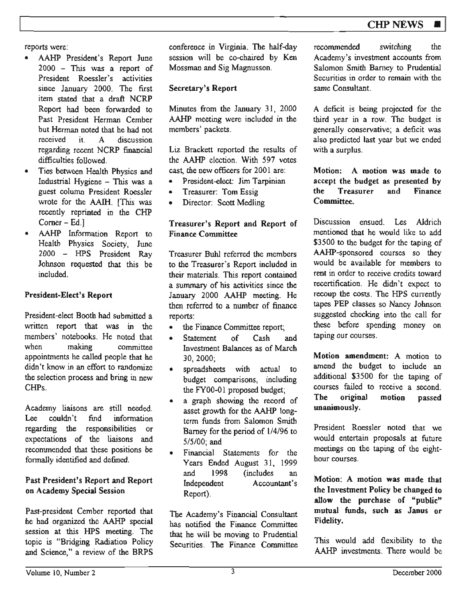reports were:

- AAHP President's Report June 2000 - This was a report of President Roessler's activities since January 2000. The first item stated that a draft NCRP Report had been forwarded to Past President Hennan Cember but Herman noted that he had not received it. A discussion regarding recent NCRP financial difficulties followed.
- Ties between Health Physics and Industrial Hygiene - This was a guest column President Roessler wrote for the **AAfrl.** [This was recently reprinted in the CHP Comer- Ed.)
- AAHP Information Report to Health Physics Society, June 2000 - HPS President Ray Johnson requested that this be included.

# **President-Elect's Report**

President-elect Booth had submitted a written report that was in the members' notebooks. He noted that when making committee appointments he called people that he didn't know in an effort to randomize the selection process and bring in new CHPs.

Academy liaisons are still needed. Lee couldn't find information regarding the responsibilities or expectations of the liaisons and recommended that these positions be formally identified and defined.

# **Past President's Report and Report on Academy Special Session**

Past-president Cember reported that he had organized the AAHP special session at this HPS meeting. The topic is "Bridging Radiation Policy and Science," a review of the BRPS conference in Virginia. The half-day session will be co-chaired by Ken Mossman and Sig Magnusson.

# **Secretary's Report**

Minutes from the January 31, 2000 AAHP meeting were included in the members' packets.

Liz Brackett reported the results of the **AAHP** election. With 597 votes cast, the new officers for 2001 are:

- President-elect: Jim Tarpinian
- Treasurer: Tom Essig
- Director: Scott Medling

#### **Treasurer's Report and Report of Finance Committee**

Treasurer Buhl referred the members to the Treasurer's Report included in their materials. This report contained a summary of his activities since the January 2000 AAHP meeting. He then referred to a number of finance reports:

- the Finance Committee report;
- Statement of Cash and Investment Balances as of March 30, 2000;
- spreadsheets with actual to budget comparisons, including the FY00-01 proposed budget;
- a graph showing the record of asset growth for the AAHP longterm funds from Salomon Smith Barney for the period of l/4/96 to 5/5/00; and
- Financial Statements for the Years Ended August 31, 1999 and 1998 (includes an Independent Accountant's Report).

The Academy's Financial Consultant has notified the Finance Committee that he will be moving to Prudential Securities. The Finance Committee recommended switching the Academy's investment accounts from Salomon Smith Barney to Prudential Securities in order to remain with the same Consultant.

A deficit is being projected for the third year in a row. The budget is generally conservative; a deficit was also predicted last year but we ended with a surplus.

Motion: A motion was made to **accept the budget as presented by the Treasurer and Finance**  Committee.

Discussion ensued. Les Aldrich mentioned that he would like to add \$3500 to the budget for the taping of AAHP-sponsored courses so they would be available for members to rent in order to receive credits toward recertification. He didn't expect to recoup the costs. The HPS currently tapes PEP classes so Nancy Johnson suggested checking into the call for these before spending money on taping our courses.

**Motion amendment: A** motion to amend the budget to include an additional \$3500 for the taping of courses failed to receive a second. **The original motion passed unanimously.** 

President Roessler noted that we would entertain proposals at future meetings on the taping of the eighthour courses.

**Motion: A motion was made that the Investment Policy be changed to allow the purchase of "public" mutual funds, such as Janus or Fidelity.** 

This would add flexibility to the AAHP investments. There would be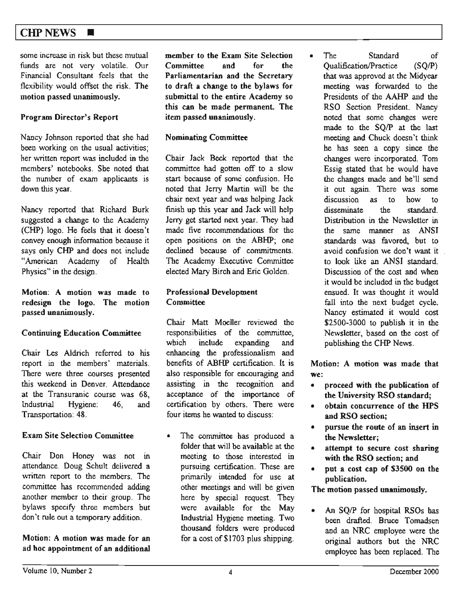# $CHP$  NEWS  $\blacksquare$

some increase in risk but these mutual funds are not very volatile. Our Financial Consultant feels that the flexibility would offset the risk. The **motion passed unanimously.** 

#### **Program Director's Report**

Nancy Johnson reported that she had been working on the usual activities; her written report was included in the members' notebooks. She noted that the number of exam applicants is down this year.

Nancy reported that Richard Burk suggested a change to the Academy (CHP) logo. He feels that it doesn't convey enough information because it says only CHP and does not include "American Academy of Health Physics" in the design.

**Motion: A motion was made to redesign the logo. The motion passed unanimously.** 

#### **Continuing Education Committee**

Chair Les Aldrich referred to his report in the members' materials. There were three courses presented this weekend in Denver. Attendance at the Transuranic course was 68, Industrial Hygiene: 46, and Transportation: 48.

#### **Exam Site Selection Committee**

Chair Don Honey was not in attendance. Doug Schult delivered a written report to the members. The committee has recommended adding another member to their group. The bylaws specify three members but don't rule out a temporary addition.

Motion: A motion was made for an ad hoc appointment of an additional

**member to the Exam Site Selection Committee and for the Parliamentarian and the Secretary to draft a change to the bylaws for submittal to the entire Academy** so **this can be made permanent. The item passed unanimously.** 

#### **Nominating Committee**

Chair Jack Beck reported that the committee had gotten off to a slow start because of some confusion. He noted that Jerry Martin will be the chair next year and was helping Jack finish up this year and Jack will help Jerry get started next year. They had made five recommendations for the open positions on the ABHP; one declined because of commitments. The Academy Executive Committee elected Mary Birch and Eric Golden.

#### **Professional Development Committee**

Chair Matt Moeller reviewed the responsibilities of the committee, which include expanding and enhancing the professionalism and benefits of ABHP certification. It is also responsible for encouraging and assisting in the recognition and acceptance of the importance of certification by others. There were four items he wanted to discuss:

• The committee bas produced a folder that will be available at the meeting to those interested in pursuing certification. These are primarily intended for use **at**  other meetings and will be given here by special request. They were available for the May Industrial Hygiene meeting. Two thousand folders were produced for a cost of \$1703 plus shipping.

• The Standard of Qualification/Practice (SQ/P) that was approved at the Midyear meeting was forwarded to the Presidents of the AAHP and the RSO Section President. Nancy noted that some changes were made to the SQ/P at the last meeting and Chuck doesn't think be has seen a copy since the changes were incorporated. Tom Essig stated that he would have the changes made and be'U send it out again. There was some discussion as to how to disseminate the standard. Distribution in the Newsletter in the same manner as ANSI standards was favored., but to avoid confusion we don't want it to look like an ANSI standard. Discussion of the cost and when it would be included in the budget ensued. It was thought it would fall into the next budget cycle. Nancy estimated it would cost  $$2500-3000$  to publish it in the Newsletter, based on the cost of publishing the CHP News.

Motion: A motion was made that **we:** 

- **proceed with the publication of the University RSO standard;**
- **obtain concurrence of the HPS and RSO section;**
- **pursue the route of an insert** in **the Newsletter;**
- **attempt to secure cost sharing with the RSO section; and**
- **put a cost cap of \$3500 on the publication.**

**The motion passed unanimously.** 

• An SQ/P for hospital RSOs has been drafted. Bruce Tomadsen and an NRC employee were the original authors but the NRC employee has been replaced. The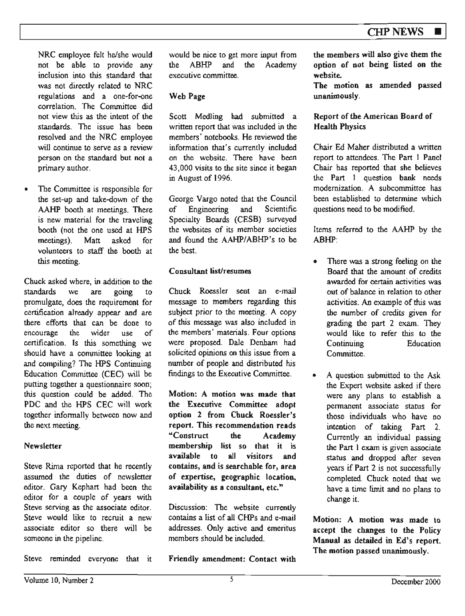NRC employee felt he/she would not be able to provide any inclusion into this standard that was not directly related to NRC regulations and a one-for-one correlation. The Committee did not view this as the intent of the standards. The issue bas been resolved and the NRC employee will continue to serve as a review person on the standard but not a primary author.

The Committee is responsible for the set-up and take-down of the AAHP booth at meetings. There is new material for the traveling booth (not the one used at HPS meetings). Matt asked for volunteers to staff the booth at *this* meeting.

Chuck asked where, in addition to the standards we are going to promulgate, does the requirement for certification already appear and are there efforts that can be done to encourage the wider use of certification. Is this something we should have a committee looking at and compiling? The HPS Continuing Education Committee (CEC) will be putting together a questionnaire soon; this question could be added. The PDC and the HPS CEC will work together infonnally between now and the next meeting.

# **Newsletter**

Steve Rima reported that he recently assumed the duties of newsletter editor. Gary Kephart had been the editor for a couple of years with Steve serving as the associate editor. Steve would like *to* recruit a new associate editor so there will be someone in the pipeline.

Steve reminded everyone that it

would be nice to get more inpul from the ABHP and the Academy executive committee.

# **Web Page**

Scott Medling had submitted a written report that was included in the members' notebooks. He reviewed the information that's currently included on the website. There have been 43,000 visits to the site since it began in August of 1996.

George Vargo noted that the Council of Engineering and Scientific Specialty Boards (CESB) surveyed the websites of its member societies and found the AAHP/ABHP's to be the best.

# **Consultant list/resumes**

Chuck Roessler sent an e-mail message to members regarding this subject prior to the meeting. A copy of this message was also included in the members' materials. Four options were proposed. Dale Denham had solicited opinions on this issue from a number of people and distributed his findings to the Executive Committee.

**Motion: A motion was made that the Executive Committee adopt**  option 2 from Chuck Roessler's **report. This recommendation reads**  "Construct **the Academy membership list so rhat it is available to all visitors and**  contains, and is searchable for, area of **expertise, geographic. location, availability as a consultant, etc."** 

Discussion: The website currently contains a list of all CHPs and e-mail addresses. Only active and emeritus members should be included.

**Friendly amendment: Contact with** 

**the members will also give them the option of not being listed on the website.** 

**The motion as amended passed unanimously.** 

# **Report** of the **American Board of Health Physics**

Chair Ed Maher distributed a written report to attendees. The Part I Panel Chair has reported that she believes the Part I question bank needs modernization. A subcommittee has been established to determine which questions need to be modified.

Items referred to the AAHP by the ABHP:

- There was a strong feeling on the Board that the amount of credits awarded for certain activities was out of baJance in relation to other activities. An example of this was the number of credits given for grading the part 2 exam. They would like to refer this to the Continuing **Committee.** Education
- A question submitted to the Ask the Expert website asked jf there were any plans to establish a permanent associate status for those individuals who have no intention of taking Part 2. Currently an individual passing the Part 1 exam is given associate status and dropped after seven years if Part 2 is not successfully completed. Chuck noted *that* we have a time limit and no plans to change it.

**Motion: A motion was made** to accept the changes to the Policy **Manual as detailed** in **Ed's report. The motion passed unanimously.**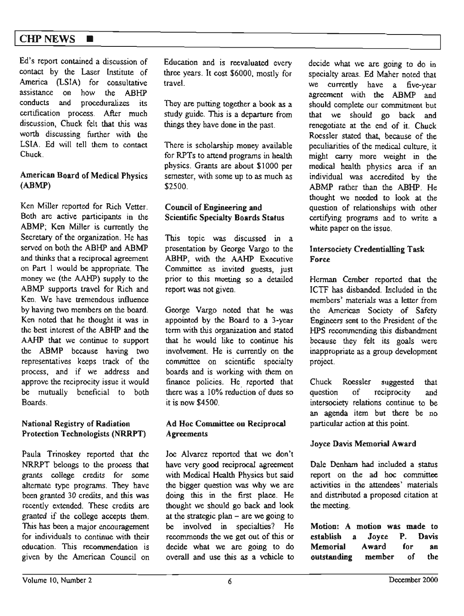# $CHP$  NEWS  $\blacksquare$

Ed's report contained a discussion of contact by the Laser lnstitute of America (LSIA) for consultative assistance on how the ABHP conducts and proceduralizes its certification process. After much discussion, Chuck felt that this was worth discussing funher with the LSIA. Ed will tell them to contact Chuck.

#### American Board of Medical Physics **(ABMP)**

Ken Miller reported for Rich Vetter. Both are active participants in the ABMP; Ken Miller is currently the Secretary of the organization. He has served on both the ABHP and ABMP and thinks that a reciprocal agreement on Part I would be appropriate. The money we (the AAHP) supply to the ABMP supports travel for Rich and Ken. We have tremendous influence by having two members on the board. Ken noted that he thought it was in the best interest of the ABHP and the AAHP that we continue to support the ABMP because having two representatives keeps track of the process, and if we address and approve the reciprocity issue it would be mutually beneficial to both Boards.

#### **National Registry of Radiation Protection Technologists (NRRPT)**

Paula Trinoskey reported that the NRRPT belongs to the process that grants college credits for some alternate type programs. They have been granted 30 credits, and this was recently extended. These credits are granted if the college accepts them. This has been a major encouragement for individuals to continue with their education. This recommendation is given by the American Council on

Education and is reevaluated every three years. It cost \$6000, mostly for travel.

They are putting together a book as a study guide. This is a departure from things they have done in the past.

There is scholarship money available for RPTs to attend programs in health physics. Grants are about \$ IOOO per semester, with some up to as much as \$2500.

#### Council of Engineering and Scientific Specialty Boards Status

This topic was discussed in a presentation by George Vargo to the ABHP, with the AAHP Executive Committee as invited guests, just prior to this meeting so a detailed report was not given.

George Vargo noted that be was appointed by the Board to a 3-year term \vith this organization and stated that he would like to continue his involvement. He is currently on the committee on scientific specialty boards and is working with them on finance policies. He reported that there was a l 0% reduction of dues so **it is now \$4500.** 

#### **Ad Hoc Committee on Reciprocal Agreements**

Joe Alvarez reported that we don't have very good reciprocal agreement with Medical Health Physics but said the bigger question was why we are doing this in the first place. He thought we should go back and look at the strategic plan  $-$  are we going to be involved in specialties? He recommends the we get out of this or decide what we are going to do overall and use this as a vehicle to

decide what we are going to do in specialty areas. Ed Maher noted that we currently have a five-year agreement with the ABMP and should complete our commitment but that we should go back and renegotiate at the end of it. Chuck Roessler stated that, because of the peculiarities of the medical culture, it might carry more weight in the medical health physics area if an individual was accredited by the ABMP rather than the ABHP. He thought we needed to look at the question of relationships with other certifying programs and to write a white paper on the issue.

#### **lntersociety Credentialling Task Force**

Herman Cember reported that the ICTF has disbanded. Included in the members' materials was a letter from the American Society of Safety Engineers sent to the President of the HPS recommending this disbandment because they felt its goals were inappropriate as a group development project.

Chuck Roessler suggested that question of reciprocity and intersociety relations continue to be an agenda item but there be no particuJar action at this point.

#### **Joyce Davis Memorial Award**

Dale Denham had included a status report on the ad hoc committee activities in the attendees' materials and distributed a proposed citation at the meeting.

**Motion: A motion was made to establish a Joyce P. Davis Memorial Award for an outstanding member** of the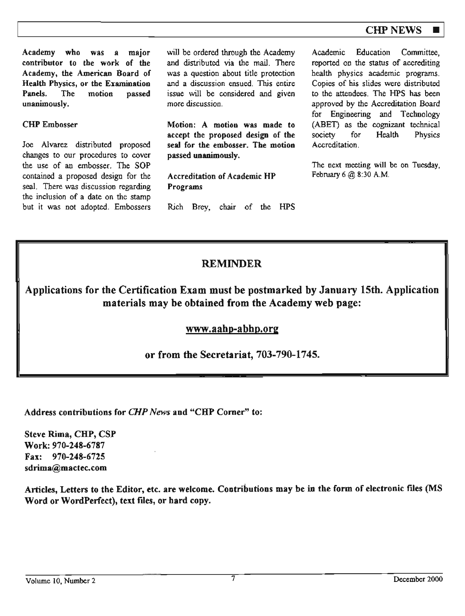# **CHP NEWS**

**Academy who was a** major **contributor** to **the work of** the **Academy, the American Board** of **Health Physics, or the Examination Panels.** The motion **passed unanimously.** 

CHP Embosser

Joe Alvarez distributed proposed changes to our procedures to cover the use of an embosser. The SOP contained a proposed design for the seal. There was discussion regarding the inclusion of a date on the stamp but it was not adopted. Embossers

will be ordered through the Academy and distributed via the mail. There was a question about title protection and a discussion ensued. This entire issue will be considered and given more discussion.

**Motion: A motion was made to accept the proposed design of the seal for the embosser. The motion passed unanimously.** 

**Accreditation of Academic HP Programs** 

Rich Brey, chair of the HPS

Academic Education Committee, reported on the status of accrediting health physics academic programs. Copies of his slides were distributed to the attendees. The HPS has been approved by the Accreditation Board for Engineering and Technology (ABET) as the cognizant technical society for Health Physics Accreditation.

The next meeting **will** be on Tuesday, February 6@ 8:30 **A.M.** 

# **REMINDER**

**Applications for the Certification Exam must be postmarked by January 15th. Application materials may be obtained from the Academy web page:** 

# **www.aahp-abhp.org**

or from the Secretariat, 703-790-1745.

Address contributions for *CHP News* and "CHP Comer" to:

Steve Rima, CHP, CSP Work: 970-248-6787 Fax: 970-248-6725 sdrima@mactec.com

Articles, Letters to the Editor, etc. are welcome. Contributions may be in the form of electronic files (MS Word or WordPerfect), text files, or hard copy.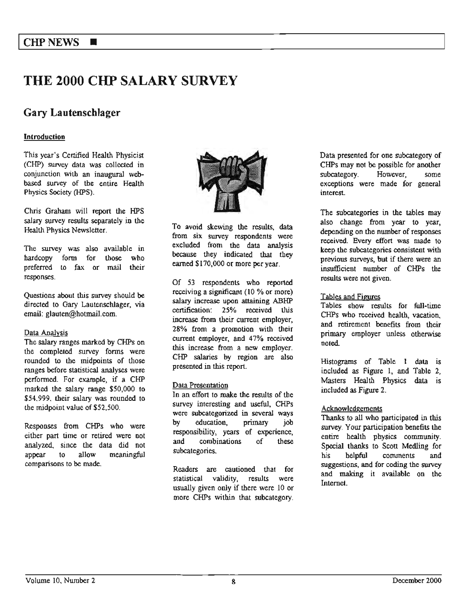# THE 2000 **CHP SALARY SURVEY**

# Gary Lautenschlager

#### **Introduction**

This year's Certified Health Physicist (CHP) survey data was collected in conjunction with an inaugural webbased survey of the entire Health Physics Society (HPS).

Chris Graham will report the HPS salary survey results separately in the Health Physics Newsletter.

The survey was also available in hardcopy form for those who preferred to fax or mail their responses.

Questions about this survey should be directed to Gary Lautenschlager, via email: glauten@hotmail.com.

#### Data Analysis

The salary ranges marked by CHPs on the completed survey forms were rounded to the midpoints of those ranges before statistical analyses were performed. For example, if a CHP marked the salary range \$50,000 to \$54.999. their salary was rounded to the midpoint value of \$52,500.

Responses from CHPs who were either part time or retired were not analyzed, since the data did not appear to allow meaningful comparisons to be made.



To avoid skewing the results, data from six survey respondents were excluded from the data analysis because they indicated that they earned \$170,000 or more per year.

Of 53 respondents who reported receiving a significant (10 % or more) salary increase upon attaining ABHP certification: 25% received this increase from their current employer, 28% from a promotion with their current employer, and 47% received this increase from a new employer. CHP salaries by region are also presented in this report.

#### Data Presentation

In an effort to make the results of the survey interesting and useful, CHPs were subcategorized in several ways by education, primary job responsibility, years of experience, and combinations of these subcategories.

Readers are cautioned that for statistical validity, results were usually given only if there were 10 or more CHPs within that subcategory.

Data presented for one subcategory of CHPs may not be possible for another<br>subcategory. However. some subcategory. However, some exceptions were made for general interest.

The subcategories in the tables may also change from year to year, depending on the number of responses received. Every effort was made 10 keep the subcategories consistent with previous surveys, but if there were an insufficient number of CHPs the results were not given.

#### Tables and Figures

Tables show results for full-time CHPs who received health, vacation, and retirement benefits from their primary employer unless otherwise noted.

Histograms of Table I data is included as Figure 1, and Table 2, Masters Health Physics data is included as Figure 2.

#### Acknowledgements

Thanks to all who participated in this survey. Your participation benefits the entire health physics community. Special thanks to Scott Medling for his helpful comments and suggestions, and for coding the swvey and making it available on the Internet.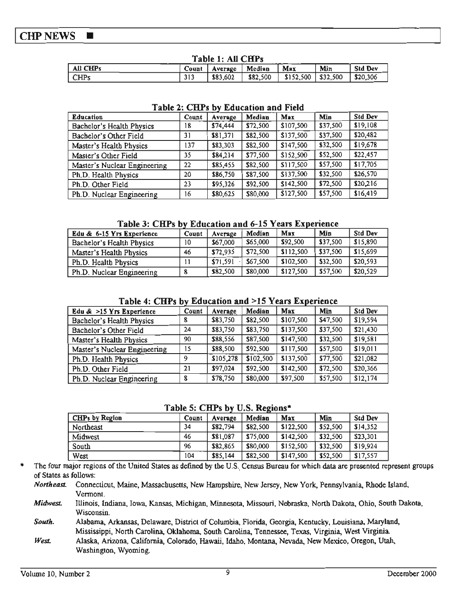#### **CHP NEWS**  $\blacksquare$

| Table 1: All CHPs |     |                          |          |                        |     |                |
|-------------------|-----|--------------------------|----------|------------------------|-----|----------------|
| $\vert$ All CHPs  |     | Count   Average   Median |          | Max                    | Min | <b>Std Dev</b> |
| $\vert$ CHPs      | 313 | 83,602                   | \$82,500 | $$152,500$   $$32,500$ |     | $1$ \$20.306   |

# Table 2: CHPs by Education and Field

| <b>Education</b>             | Count | Average  | Median   | Max       | Min      | <b>Std Dev</b> |  |
|------------------------------|-------|----------|----------|-----------|----------|----------------|--|
| Bachelor's Health Physics    | 18    | \$74,444 | \$72,500 | \$107,500 | \$37,500 | \$19,108       |  |
| Bachelor's Other Field       | 31    | \$81,371 | \$82,500 | \$137,500 | \$37,500 | \$20,482       |  |
| Master's Health Physics      | 137   | \$83,303 | \$82,500 | \$147,500 | \$32,500 | \$19,678       |  |
| Master's Other Field         | 35    | \$84,214 | \$77,500 | \$152,500 | \$52,500 | \$22,457       |  |
| Master's Nuclear Engineering | 22    | \$85,455 | \$82,500 | \$117,500 | \$57,500 | \$17,705       |  |
| Ph.D. Health Physics         | 20    | \$86,750 | \$87,500 | \$137,500 | \$32,500 | \$26,570       |  |
| Ph.D. Other Field            | 23    | \$95,326 | \$92,500 | \$142,500 | \$72,500 | \$20,216       |  |
| Ph.D. Nuclear Engineering    | 16    | \$80,625 | \$80,000 | \$127,500 | \$57,500 | \$16,419       |  |

#### Table 3: CHPs by Education and 6-15 Years Experience

| Edu & 6-15 Yrs Experience | Count | Average  | Median   | Max       | Min      | <b>Std Dev</b> |
|---------------------------|-------|----------|----------|-----------|----------|----------------|
| Bachelor's Health Physics | 10    | \$67,000 | \$65,000 | \$92,500  | \$37.500 | \$15,890       |
| Master's Health Physics   | 46    | \$72,935 | \$72,500 | \$112,500 | \$37.500 | \$15,699       |
| Ph.D. Health Physics      |       | \$71,591 | \$67,500 | \$102,500 | \$32,500 | \$20,593       |
| Ph.D. Nuclear Engineering |       | \$82,500 | \$80,000 | \$127,500 | \$57,500 | \$20,529       |

#### Table 4: CHPs by Education and >15 Years Experience

| Edu $>15$ Yrs Experience     | Count | Average   | Median    | Max       | Min      | <b>Std Dev</b> |
|------------------------------|-------|-----------|-----------|-----------|----------|----------------|
| Bachelor's Health Physics    | 8     | \$83,750  | \$82,500  | \$107,500 | \$47,500 | \$19,594       |
| Bachelor's Other Field       | 24    | \$83,750  | \$83,750  | \$137,500 | \$37,500 | \$21,430       |
| Master's Health Physics      | 90    | \$88,556  | \$87,500  | \$147,500 | \$32,500 | \$19,581       |
| Master's Nuclear Engineering | 15    | \$88,500  | \$92,500  | \$117,500 | \$57,500 | \$19,011       |
| Ph.D. Health Physics         | O     | \$105,278 | \$102,500 | \$137,500 | \$77,500 | \$21,082       |
| Ph.D. Other Field            | 21    | \$97,024  | \$92,500  | \$142,500 | \$72,500 | \$20,366       |
| Ph.D. Nuclear Engineering    | 8     | \$78,750  | \$80,000  | \$97,500  | \$57,500 | \$12,174       |

### Table 5: CHPs by U.S. Regions\*

| CHPs by Region | Count | Average  | Median   | Max       | Min      | <b>Std Dev</b> |
|----------------|-------|----------|----------|-----------|----------|----------------|
| Northeast      | 34    | \$82,794 | \$82,500 | \$122,500 | \$52,500 | \$14.352       |
| Midwest        | 46    | \$81,087 | \$75,000 | \$142.500 | \$32,500 | \$23,301       |
| South          | 96    | \$82,865 | \$80,000 | \$152,500 | \$32,500 | \$19.924       |
| West           | 104   | \$85,144 | \$82,500 | \$147,500 | \$52,500 | \$17,557       |

The four major regions of the United States as defined by the U.S. Census Bureau for which data are presented represent groups of States as follows:

Northeast. Connecticut, Maine, Massachusetts, New Hampshire, New Jersey, New York, Pennsylvania, Rhode Island, Vermont.

Illinois, Indiana, Iowa, Kansas, Michigan, Minnesota, Missouri, Nebraska, North Dakota, Ohio, South Dakota, **Midwest** Wisconsin.

South. Alabama, Arkansas, Delaware, District of Columbia, Florida, Georgia, Kentucky, Louisiana, Maryland, Mississippi, North Carolina, Oklahoma, South Carolina, Tennessee, Texas, Virginia, West Virginia.

West Alaska, Arizona, California, Colorado, Hawaii, Idaho, Montana, Nevada, New Mexico, Oregon, Utah, Washington, Wyoming.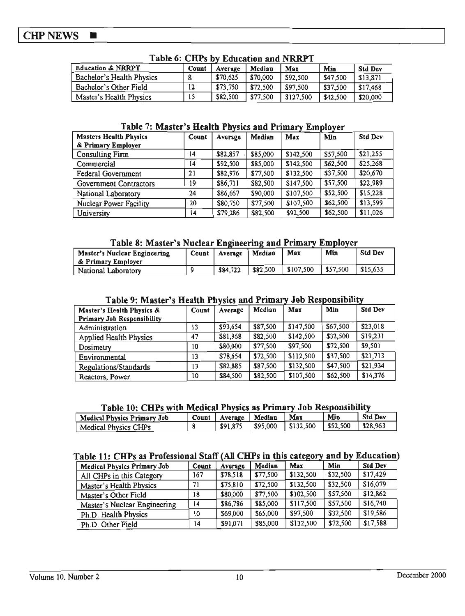#### **CHP NEWS**  $\blacksquare$

| TADIC 01 CATS DY EQUEALION AND ITERED T |       |          |          |           |          |                |
|-----------------------------------------|-------|----------|----------|-----------|----------|----------------|
| <b>Education &amp; NRRPT</b>            | Count | Average  | Median   | Max       | Min      | <b>Std Dev</b> |
| Bachelor's Health Physics               |       | \$70,625 | \$70,000 | \$92,500  | \$47.500 | \$13.871       |
| Bachelor's Other Field                  | 12    | \$73,750 | \$72,500 | \$97,500  | \$37.500 | \$17,468       |
| Master's Health Physics                 | 15    | \$82,500 | \$77,500 | \$127.500 | \$42,500 | \$20,000       |

# Table 6: CHPs by Education and NRRPT

#### Table 7: Master's Health Physics and Primary Employer

| <b>Masters Health Physics</b> | Count | Average  | Median   | Max       | Min      | <b>Std Dev</b> |
|-------------------------------|-------|----------|----------|-----------|----------|----------------|
| & Primary Employer            |       |          |          |           |          |                |
| <b>Consulting Firm</b>        | 14    | \$82,857 | \$85,000 | \$142,500 | \$57,500 | \$21,255       |
| Commercial                    | 14    | \$92,500 | \$85,000 | \$142,500 | \$62,500 | \$25,268       |
| Federal Government            | 21    | \$82,976 | \$77,500 | \$132,500 | \$37,500 | \$20,670       |
| Government Contractors        | 19    | \$86,711 | \$82,500 | \$147,500 | \$57,500 | \$22,989       |
| National Laboratory           | 24    | \$86,667 | \$90,000 | \$107,500 | \$52,500 | \$15,228       |
| Nuclear Power Facility        | 20    | \$80,750 | \$77,500 | \$107,500 | \$62,500 | \$13,599       |
| University                    | 14    | \$79,286 | \$82,500 | \$92,500  | \$62,500 | \$11,026       |

### Table 8: Master's Nuclear Engineering and Primary Employer

| Master's Nuclear Engineering<br>& Primary Employer | Count   Average | Median   | Max       | Min                               | <b>Std Dev</b> |
|----------------------------------------------------|-----------------|----------|-----------|-----------------------------------|----------------|
| National Laboratory                                | \$84,722        | \$82,500 | \$107,500 | $\vert$ \$57,500 $\vert$ \$15,635 |                |

### Table 9: Master's Health Physics and Primary Job Responsibility

| Master's Health Physics &         | Count | Average  | Median   | Max       | Min      | <b>Std Dev</b> |
|-----------------------------------|-------|----------|----------|-----------|----------|----------------|
| <b>Primary Job Responsibility</b> |       |          |          |           |          |                |
| Administration                    | ١3    | \$93,654 | \$87,500 | \$147,500 | \$67,500 | \$23,018       |
| <b>Applied Health Physics</b>     | 47    | \$81,968 | \$82,500 | \$142,500 | \$32,500 | \$19,231       |
| Dosimetry                         | 10    | \$80,000 | \$77,500 | \$97,500  | \$72,500 | \$9,501        |
| Environmental                     | 13    | \$78,654 | \$72,500 | \$112,500 | \$37,500 | \$21,713       |
| Regulations/Standards             | 13    | \$82,885 | \$87,500 | \$132,500 | \$47,500 | \$21,934       |
| Reactors, Power                   | 10    | \$84,500 | \$82,500 | \$107,500 | \$62,500 | \$14,376       |

#### Table 10: CHPs with Medical Physics as Primary Job Responsibility

| Medical Physics Primary Job |          | Count   Average   Median | Max | Min | <b>Std Dev</b> |
|-----------------------------|----------|--------------------------|-----|-----|----------------|
| Medical Physics CHPs        | \$91,875 | $ $ \$95,000             |     |     | \$28.963       |

#### Table 11: CHPs as Professional Staff (All CHPs in this category and by Education)

| <b>Medical Physics Primary Job</b> | Count | Average  | Median   | Max       | Min      | <b>Std Dev</b> |
|------------------------------------|-------|----------|----------|-----------|----------|----------------|
| All CHPs in this Category          | 167   | \$78,518 | \$77,500 | \$132,500 | \$32,500 | \$17,429       |
| Master's Health Physics            | 71    | \$75,810 | \$72,500 | \$132,500 | \$32,500 | \$16,079       |
| Master's Other Field               | 18    | \$80,000 | \$77,500 | \$102,500 | \$57,500 | \$12,862       |
| Master's Nuclear Engineering       | 14    | \$86.786 | \$85,000 | \$117,500 | \$57,500 | \$16,740       |
| Ph.D. Health Physics               | 10    | \$69,000 | \$65,000 | \$97,500  | \$32,500 | \$19,586       |
| Ph.D. Other Field                  | 14    | \$91,071 | \$85,000 | \$132,500 | \$72,500 | \$17,588       |